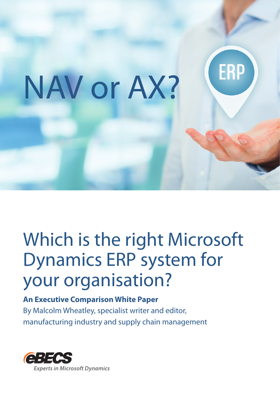# ERP NAV or AX?

# Which is the right Microsoft Dynamics ERP system for your organisation?

# **An Executive Comparison White Paper**

By Malcolm Wheatley, specialist writer and editor, manufacturing industry and supply chain management

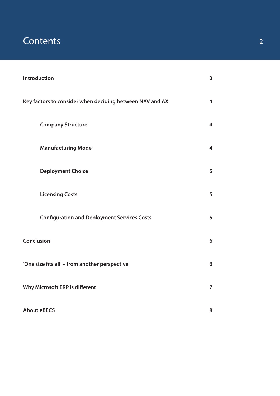# **Contents** 2

| Introduction                                             | $\overline{\mathbf{3}}$ |
|----------------------------------------------------------|-------------------------|
| Key factors to consider when deciding between NAV and AX | $\overline{4}$          |
| <b>Company Structure</b>                                 | 4                       |
| <b>Manufacturing Mode</b>                                | 4                       |
| <b>Deployment Choice</b>                                 | 5                       |
| <b>Licensing Costs</b>                                   | 5                       |
| <b>Configuration and Deployment Services Costs</b>       | 5                       |
| Conclusion                                               | $6\phantom{1}$          |
| 'One size fits all' - from another perspective           | 6                       |
| Why Microsoft ERP is different                           | $\overline{7}$          |
| <b>About eBECS</b>                                       | 8                       |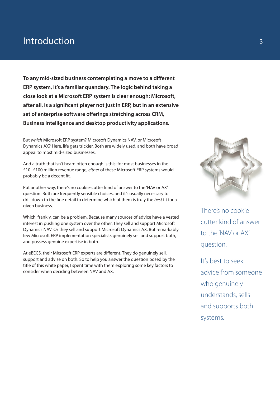# Introduction

**To any mid-sized business contemplating a move to a different ERP system, it's a familiar quandary. The logic behind taking a close look at a Microsoft ERP system is clear enough: Microsoft, after all, is a significant player not just in ERP, but in an extensive set of enterprise software offerings stretching across CRM, Business Intelligence and desktop productivity applications.** 

But *which* Microsoft ERP system? Microsoft Dynamics NAV, or Microsoft Dynamics AX? Here, life gets trickier. Both are widely used, and both have broad appeal to most mid-sized businesses.

And a truth that isn't heard often enough is this: for most businesses in the £10–£100 million revenue range, *either* of these Microsoft ERP systems would probably be a decent fit.

Put another way, there's no cookie-cutter kind of answer to the 'NAV or AX' question. Both are frequently sensible choices, and it's usually necessary to drill down to the fine detail to determine which of them is truly the *best* fit for a given business.

Which, frankly, can be a problem. Because many sources of advice have a vested interest in pushing one system over the other. They sell and support Microsoft Dynamics NAV. Or they sell and support Microsoft Dynamics AX. But remarkably few Microsoft ERP implementation specialists genuinely sell and support both, and possess genuine expertise in both.

At eBECS, their Microsoft ERP experts are different. They do genuinely sell, support and advise on both. So to help you answer the question posed by the title of this white paper, I spent time with them exploring some key factors to consider when deciding between NAV and AX.



There's no cookiecutter kind of answer to the 'NAV or AX' question.

It's best to seek advice from someone who genuinely understands, sells and supports both systems.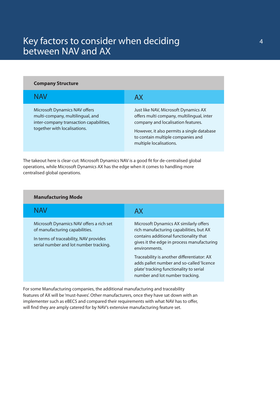# Key factors to consider when deciding between NAV and AX

| <b>Company Structure</b>                                                                                                                     |                                                                                                                                                                                                                                       |
|----------------------------------------------------------------------------------------------------------------------------------------------|---------------------------------------------------------------------------------------------------------------------------------------------------------------------------------------------------------------------------------------|
| NAV                                                                                                                                          | AX                                                                                                                                                                                                                                    |
| Microsoft Dynamics NAV offers<br>multi-company, multilingual, and<br>inter-company transaction capabilities,<br>together with localisations. | Just like NAV, Microsoft Dynamics AX<br>offers multi company, multilingual, inter<br>company and localisation features.<br>However, it also permits a single database<br>to contain multiple companies and<br>multiple localisations. |

The takeout here is clear-cut: Microsoft Dynamics NAV is a good fit for de-centralised global operations, while Microsoft Dynamics AX has the edge when it comes to handling more centralised global operations.

### **Manufacturing Mode**

| NAV                                                                                                                                                            | AX                                                                                                                                                                                                                                                                                                                                                                  |
|----------------------------------------------------------------------------------------------------------------------------------------------------------------|---------------------------------------------------------------------------------------------------------------------------------------------------------------------------------------------------------------------------------------------------------------------------------------------------------------------------------------------------------------------|
| Microsoft Dynamics NAV offers a rich set<br>of manufacturing capabilities.<br>In terms of traceability, NAV provides<br>serial number and lot number tracking. | Microsoft Dynamics AX similarly offers<br>rich manufacturing capabilities, but AX<br>contains additional functionality that<br>gives it the edge in process manufacturing<br>environments.<br>Traceability is another differentiator: AX<br>adds pallet number and so-called 'licence<br>plate' tracking functionality to serial<br>number and lot number tracking. |

For some Manufacturing companies, the additional manufacturing and traceability features of AX will be 'must-haves'. Other manufacturers, once they have sat down with an implementer such as eBECS and compared their requirements with what NAV has to offer, will find they are amply catered for by NAV's extensive manufacturing feature set.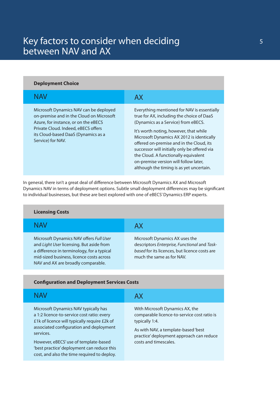# Key factors to consider when deciding between NAV and AX

| <b>Deployment Choice</b>                                                                                                                                                                                                      |                                                                                                                                                                                                                                                                                                                                                                                                                                                 |
|-------------------------------------------------------------------------------------------------------------------------------------------------------------------------------------------------------------------------------|-------------------------------------------------------------------------------------------------------------------------------------------------------------------------------------------------------------------------------------------------------------------------------------------------------------------------------------------------------------------------------------------------------------------------------------------------|
| <b>NAV</b>                                                                                                                                                                                                                    | AX                                                                                                                                                                                                                                                                                                                                                                                                                                              |
| Microsoft Dynamics NAV can be deployed<br>on-premise and in the Cloud on Microsoft<br>Azure, for instance, or on the eBECS<br>Private Cloud. Indeed, eBECS offers<br>its Cloud-based DaaS (Dynamics as a<br>Service) for NAV. | Everything mentioned for NAV is essentially<br>true for AX, including the choice of DaaS<br>(Dynamics as a Service) from eBECS.<br>It's worth noting, however, that while<br>Microsoft Dynamics AX 2012 is identically<br>offered on-premise and in the Cloud, its<br>successor will initially only be offered via<br>the Cloud. A functionally equivalent<br>on-premise version will follow later,<br>although the timing is as yet uncertain. |

In general, there isn't a great deal of difference between Microsoft Dynamics AX and Microsoft Dynamics NAV in terms of deployment options. Subtle small deployment differences may be significant to individual businesses, but these are best explored with one of eBECS' Dynamics ERP experts.

| <b>Licensing Costs</b>                                                                                                                                                                                              |                                                                                                                                                              |
|---------------------------------------------------------------------------------------------------------------------------------------------------------------------------------------------------------------------|--------------------------------------------------------------------------------------------------------------------------------------------------------------|
| <b>NAV</b>                                                                                                                                                                                                          | AX                                                                                                                                                           |
| Microsoft Dynamics NAV offers Full User<br>and Light User licensing. But aside from<br>a difference in terminology, for a typical<br>mid-sized business, licence costs across<br>NAV and AX are broadly comparable. | Microsoft Dynamics AX uses the<br>descriptors Enterprise, Functional and Task-<br>based for its licences, but licence costs are<br>much the same as for NAV. |

### **Configuration and Deployment Services Costs**

| NAV                                                                                                                                                                                                                                                                                                                              | АX                                                                                                                                                                                                           |
|----------------------------------------------------------------------------------------------------------------------------------------------------------------------------------------------------------------------------------------------------------------------------------------------------------------------------------|--------------------------------------------------------------------------------------------------------------------------------------------------------------------------------------------------------------|
| Microsoft Dynamics NAV typically has<br>a 1:2 licence-to-service cost ratio: every<br>£1k of licence will typically require £2k of<br>associated configuration and deployment<br>services.<br>However, eBECS' use of template-based<br>'best practice' deployment can reduce this<br>cost, and also the time required to deploy. | With Microsoft Dynamics AX, the<br>comparable licence-to-service cost ratio is<br>typically 1:4.<br>As with NAV, a template-based 'best<br>practice' deployment approach can reduce<br>costs and timescales. |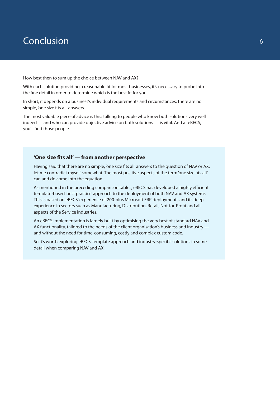# Conclusion

How best then to sum up the choice between NAV and AX?

With each solution providing a reasonable fit for most businesses, it's necessary to probe into the fine detail in order to determine which is the best fit for you.

In short, it depends on a business's individual requirements and circumstances: there are no simple, 'one size fits all' answers.

The most valuable piece of advice is this: talking to people who know both solutions very well indeed — and who can provide objective advice on both solutions — is vital. And at eBECS, you'll find those people.

### **'One size fits all' — from another perspective**

Having said that there are no simple, 'one size fits all' answers to the question of NAV or AX, let me contradict myself somewhat. The most positive aspects of the term 'one size fits all' can and do come into the equation.

As mentioned in the preceding comparison tables, eBECS has developed a highly efficient template-based 'best practice' approach to the deployment of both NAV and AX systems. This is based on eBECS' experience of 200-plus Microsoft ERP deployments and its deep experience in sectors such as Manufacturing, Distribution, Retail, Not-for-Profit and all aspects of the Service industries.

An eBECS implementation is largely built by optimising the very best of standard NAV and AX functionality, tailored to the needs of the client organisation's business and industry and without the need for time-consuming, costly and complex custom code.

So it's worth exploring eBECS' template approach and industry-specific solutions in some detail when comparing NAV and AX.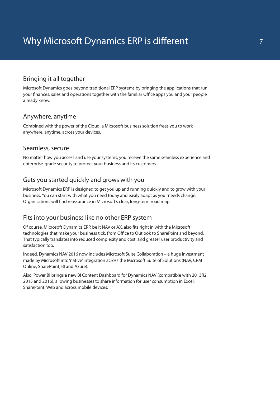# Bringing it all together

Microsoft Dynamics goes beyond traditional ERP systems by bringing the applications that run your finances, sales and operations together with the familiar Office apps you and your people already know.

### Anywhere, anytime

Combined with the power of the Cloud, a Microsoft business solution frees you to work anywhere, anytime, across your devices.

### Seamless, secure

No matter how you access and use your systems, you receive the same seamless experience and enterprise-grade security to protect your business and its customers.

# Gets you started quickly and grows with you

Microsoft Dynamics ERP is designed to get you up and running quickly and to grow with your business. You can start with what you need today and easily adapt as your needs change. Organisations will find reassurance in Microsoft's clear, long-term road map.

### Fits into your business like no other ERP system

Of course, Microsoft Dynamics ERP, be it NAV or AX, also fits right in with the Microsoft technologies that make your business tick, from Office to Outlook to SharePoint and beyond. That typically translates into reduced complexity and cost, and greater user productivity and satisfaction too.

Indeed, Dynamics NAV 2016 now includes Microsoft Suite Collaboration – a huge investment made by Microsoft into 'native' integration across the Microsoft Suite of Solutions (NAV, CRM Online, SharePoint, BI and Azure).

Also, Power BI brings a new BI Content Dashboard for Dynamics NAV (compatible with 2013R2, 2015 and 2016), allowing businesses to share information for user consumption in Excel, SharePoint, Web and across mobile devices.